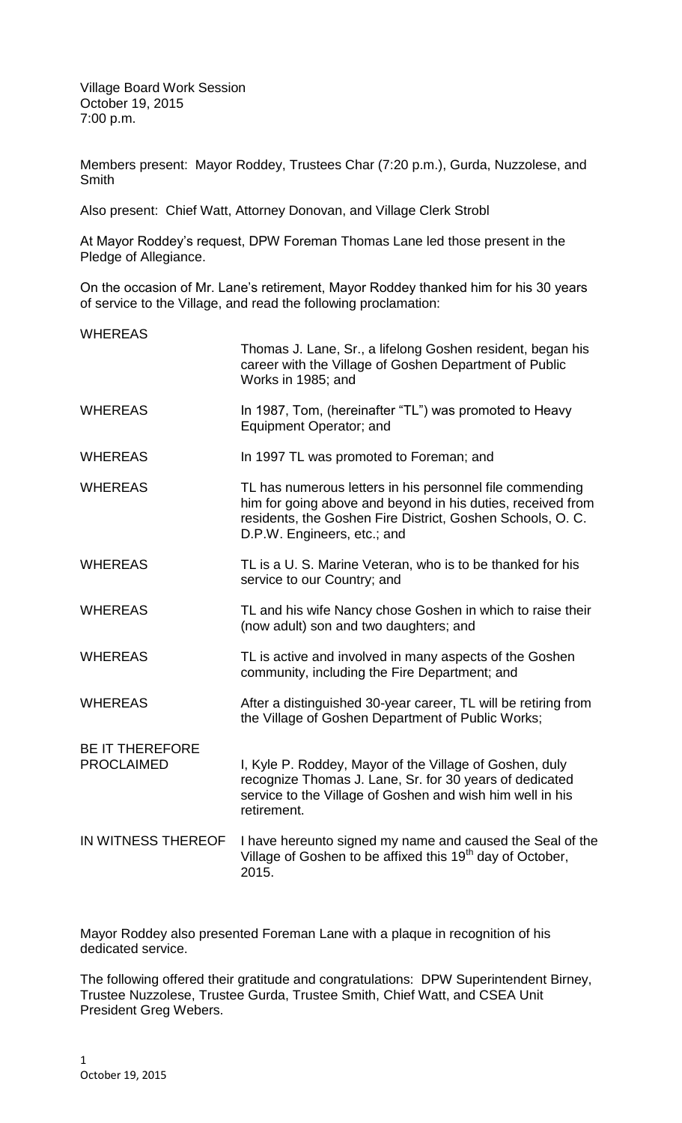Village Board Work Session October 19, 2015 7:00 p.m.

Members present: Mayor Roddey, Trustees Char (7:20 p.m.), Gurda, Nuzzolese, and **Smith** 

Also present: Chief Watt, Attorney Donovan, and Village Clerk Strobl

At Mayor Roddey's request, DPW Foreman Thomas Lane led those present in the Pledge of Allegiance.

On the occasion of Mr. Lane's retirement, Mayor Roddey thanked him for his 30 years of service to the Village, and read the following proclamation:

| <b>WHEREAS</b>                              |                                                                                                                                                                                                                      |
|---------------------------------------------|----------------------------------------------------------------------------------------------------------------------------------------------------------------------------------------------------------------------|
|                                             | Thomas J. Lane, Sr., a lifelong Goshen resident, began his<br>career with the Village of Goshen Department of Public<br>Works in 1985; and                                                                           |
| <b>WHEREAS</b>                              | In 1987, Tom, (hereinafter "TL") was promoted to Heavy<br>Equipment Operator; and                                                                                                                                    |
| <b>WHEREAS</b>                              | In 1997 TL was promoted to Foreman; and                                                                                                                                                                              |
| <b>WHEREAS</b>                              | TL has numerous letters in his personnel file commending<br>him for going above and beyond in his duties, received from<br>residents, the Goshen Fire District, Goshen Schools, O. C.<br>D.P.W. Engineers, etc.; and |
| <b>WHEREAS</b>                              | TL is a U. S. Marine Veteran, who is to be thanked for his<br>service to our Country; and                                                                                                                            |
| <b>WHEREAS</b>                              | TL and his wife Nancy chose Goshen in which to raise their<br>(now adult) son and two daughters; and                                                                                                                 |
| <b>WHEREAS</b>                              | TL is active and involved in many aspects of the Goshen<br>community, including the Fire Department; and                                                                                                             |
| <b>WHEREAS</b>                              | After a distinguished 30-year career, TL will be retiring from<br>the Village of Goshen Department of Public Works;                                                                                                  |
| <b>BE IT THEREFORE</b><br><b>PROCLAIMED</b> | I, Kyle P. Roddey, Mayor of the Village of Goshen, duly<br>recognize Thomas J. Lane, Sr. for 30 years of dedicated<br>service to the Village of Goshen and wish him well in his<br>retirement.                       |
| IN WITNESS THEREOF                          | I have hereunto signed my name and caused the Seal of the<br>Village of Goshen to be affixed this 19 <sup>th</sup> day of October,<br>2015.                                                                          |

Mayor Roddey also presented Foreman Lane with a plaque in recognition of his dedicated service.

The following offered their gratitude and congratulations: DPW Superintendent Birney, Trustee Nuzzolese, Trustee Gurda, Trustee Smith, Chief Watt, and CSEA Unit President Greg Webers.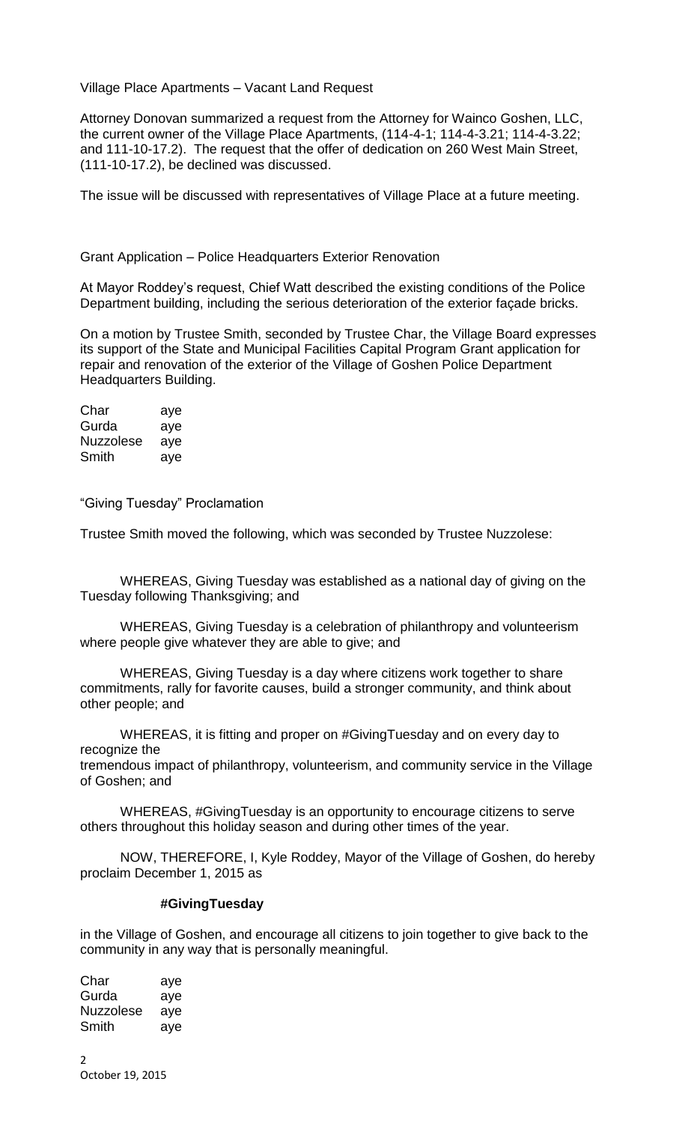## Village Place Apartments – Vacant Land Request

Attorney Donovan summarized a request from the Attorney for Wainco Goshen, LLC, the current owner of the Village Place Apartments, (114-4-1; 114-4-3.21; 114-4-3.22; and 111-10-17.2). The request that the offer of dedication on 260 West Main Street, (111-10-17.2), be declined was discussed.

The issue will be discussed with representatives of Village Place at a future meeting.

## Grant Application – Police Headquarters Exterior Renovation

At Mayor Roddey's request, Chief Watt described the existing conditions of the Police Department building, including the serious deterioration of the exterior façade bricks.

On a motion by Trustee Smith, seconded by Trustee Char, the Village Board expresses its support of the State and Municipal Facilities Capital Program Grant application for repair and renovation of the exterior of the Village of Goshen Police Department Headquarters Building.

Char aye Gurda aye Nuzzolese aye Smith aye

"Giving Tuesday" Proclamation

Trustee Smith moved the following, which was seconded by Trustee Nuzzolese:

WHEREAS, Giving Tuesday was established as a national day of giving on the Tuesday following Thanksgiving; and

WHEREAS, Giving Tuesday is a celebration of philanthropy and volunteerism where people give whatever they are able to give; and

WHEREAS, Giving Tuesday is a day where citizens work together to share commitments, rally for favorite causes, build a stronger community, and think about other people; and

WHEREAS, it is fitting and proper on #GivingTuesday and on every day to recognize the

tremendous impact of philanthropy, volunteerism, and community service in the Village of Goshen; and

WHEREAS, #GivingTuesday is an opportunity to encourage citizens to serve others throughout this holiday season and during other times of the year.

NOW, THEREFORE, I, Kyle Roddey, Mayor of the Village of Goshen, do hereby proclaim December 1, 2015 as

## **#GivingTuesday**

in the Village of Goshen, and encourage all citizens to join together to give back to the community in any way that is personally meaningful.

Char aye Gurda aye Nuzzolese aye Smith aye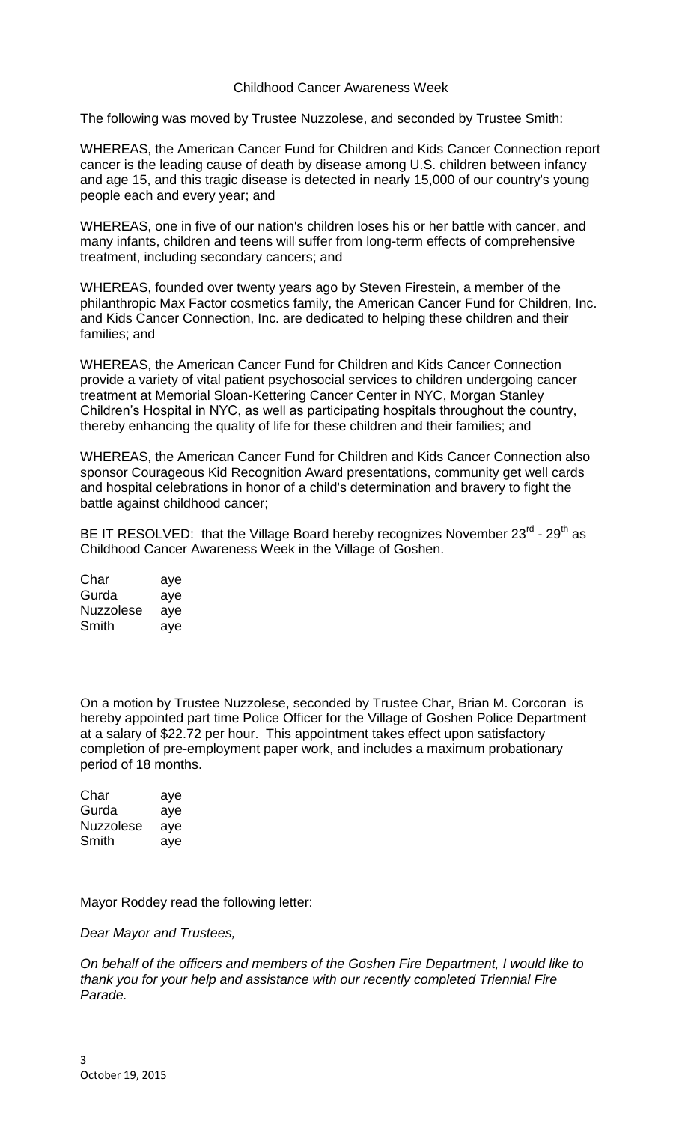## Childhood Cancer Awareness Week

The following was moved by Trustee Nuzzolese, and seconded by Trustee Smith:

WHEREAS, the American Cancer Fund for Children and Kids Cancer Connection report cancer is the leading cause of death by disease among U.S. children between infancy and age 15, and this tragic disease is detected in nearly 15,000 of our country's young people each and every year; and

WHEREAS, one in five of our nation's children loses his or her battle with cancer, and many infants, children and teens will suffer from long-term effects of comprehensive treatment, including secondary cancers; and

WHEREAS, founded over twenty years ago by Steven Firestein, a member of the philanthropic Max Factor cosmetics family, the American Cancer Fund for Children, Inc. and Kids Cancer Connection, Inc. are dedicated to helping these children and their families; and

WHEREAS, the American Cancer Fund for Children and Kids Cancer Connection provide a variety of vital patient psychosocial services to children undergoing cancer treatment at Memorial Sloan-Kettering Cancer Center in NYC, Morgan Stanley Children's Hospital in NYC, as well as participating hospitals throughout the country, thereby enhancing the quality of life for these children and their families; and

WHEREAS, the American Cancer Fund for Children and Kids Cancer Connection also sponsor Courageous Kid Recognition Award presentations, community get well cards and hospital celebrations in honor of a child's determination and bravery to fight the battle against childhood cancer;

BE IT RESOLVED: that the Village Board hereby recognizes November 23 $^{\text{rd}}$  - 29<sup>th</sup> as Childhood Cancer Awareness Week in the Village of Goshen.

| Char             | aye |
|------------------|-----|
| Gurda            | aye |
| <b>Nuzzolese</b> | aye |
| Smith            | aye |

On a motion by Trustee Nuzzolese, seconded by Trustee Char, Brian M. Corcoran is hereby appointed part time Police Officer for the Village of Goshen Police Department at a salary of \$22.72 per hour. This appointment takes effect upon satisfactory completion of pre-employment paper work, and includes a maximum probationary period of 18 months.

| Char             | aye |
|------------------|-----|
| Gurda            | aye |
| <b>Nuzzolese</b> | aye |
| Smith            | aye |

Mayor Roddey read the following letter:

*Dear Mayor and Trustees,*

*On behalf of the officers and members of the Goshen Fire Department, I would like to thank you for your help and assistance with our recently completed Triennial Fire Parade.*